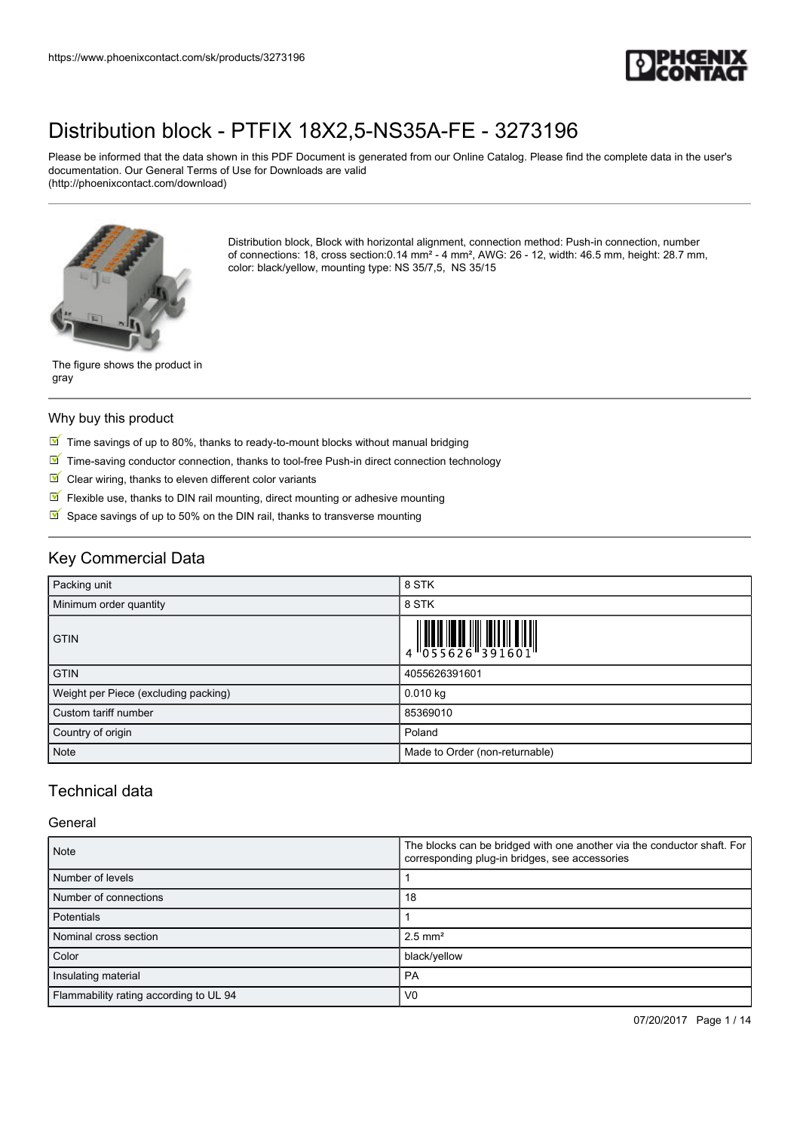

Please be informed that the data shown in this PDF Document is generated from our Online Catalog. Please find the complete data in the user's documentation. Our General Terms of Use for Downloads are valid (http://phoenixcontact.com/download)



Distribution block, Block with horizontal alignment, connection method: Push-in connection, number of connections: 18, cross section:0.14 mm² - 4 mm², AWG: 26 - 12, width: 46.5 mm, height: 28.7 mm, color: black/yellow, mounting type: NS 35/7,5, NS 35/15

The figure shows the product in gray

#### Why buy this product

- $\boxed{\blacksquare}$  Time savings of up to 80%, thanks to ready-to-mount blocks without manual bridging
- $\boxed{\blacksquare}$  Time-saving conductor connection, thanks to tool-free Push-in direct connection technology
- $\blacksquare$  Clear wiring, thanks to eleven different color variants
- $\sqrt{}$ Flexible use, thanks to DIN rail mounting, direct mounting or adhesive mounting
- $\triangleright$  Space savings of up to 50% on the DIN rail, thanks to transverse mounting

### Key Commercial Data

| Packing unit                         | 8 STK                                                                                                                                                                                                                                                                                                                     |
|--------------------------------------|---------------------------------------------------------------------------------------------------------------------------------------------------------------------------------------------------------------------------------------------------------------------------------------------------------------------------|
| Minimum order quantity               | 8 STK                                                                                                                                                                                                                                                                                                                     |
| <b>GTIN</b>                          | $\begin{array}{c} 1 & 0 & 0 & 0 \\ 0 & 0 & 5 & 5 & 6 & 2 & 6 \\ 0 & 0 & 5 & 5 & 6 & 2 & 6 \\ 0 & 0 & 0 & 1 & 0 & 0 \\ 0 & 0 & 0 & 0 & 0 & 0 \\ 0 & 0 & 0 & 0 & 0 & 0 \\ 0 & 0 & 0 & 0 & 0 & 0 \\ 0 & 0 & 0 & 0 & 0 & 0 \\ 0 & 0 & 0 & 0 & 0 & 0 & 0 \\ 0 & 0 & 0 & 0 & 0 & 0 & 0 \\ 0 & 0 & 0 & 0 & 0 & 0 & 0 \\ 0 & 0 &$ |
| <b>GTIN</b>                          | 4055626391601                                                                                                                                                                                                                                                                                                             |
| Weight per Piece (excluding packing) | 0.010 kg                                                                                                                                                                                                                                                                                                                  |
| Custom tariff number                 | 85369010                                                                                                                                                                                                                                                                                                                  |
| Country of origin                    | Poland                                                                                                                                                                                                                                                                                                                    |
| Note                                 | Made to Order (non-returnable)                                                                                                                                                                                                                                                                                            |

### Technical data

#### **General**

| <b>Note</b>                            | The blocks can be bridged with one another via the conductor shaft. For<br>corresponding plug-in bridges, see accessories |  |
|----------------------------------------|---------------------------------------------------------------------------------------------------------------------------|--|
| Number of levels                       |                                                                                                                           |  |
| Number of connections                  | 18                                                                                                                        |  |
| <b>Potentials</b>                      |                                                                                                                           |  |
| Nominal cross section                  | $2.5$ mm <sup>2</sup>                                                                                                     |  |
| Color                                  | black/yellow                                                                                                              |  |
| Insulating material                    | PA                                                                                                                        |  |
| Flammability rating according to UL 94 | V <sub>0</sub>                                                                                                            |  |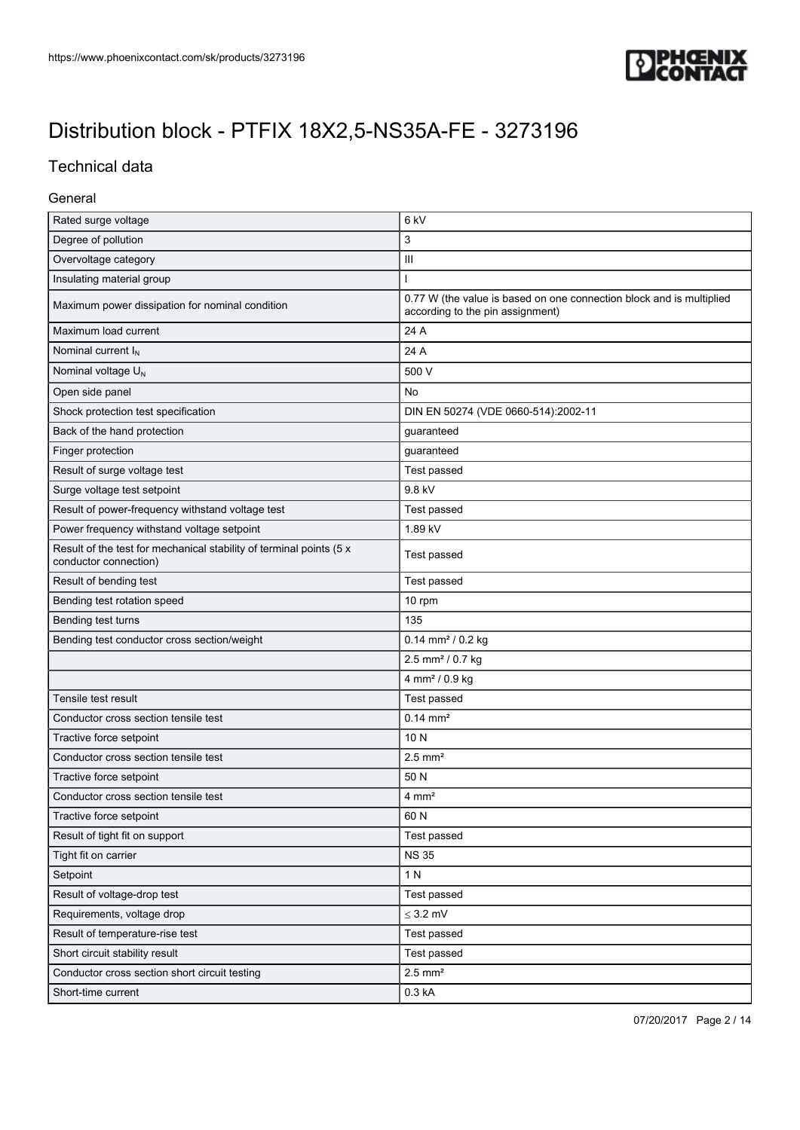

### Technical data

#### General

| Rated surge voltage                                                                          | 6 <sub>kV</sub>                                                                                          |  |
|----------------------------------------------------------------------------------------------|----------------------------------------------------------------------------------------------------------|--|
| Degree of pollution                                                                          | 3                                                                                                        |  |
| Overvoltage category                                                                         | $\mathbf{III}$                                                                                           |  |
| Insulating material group                                                                    | T                                                                                                        |  |
| Maximum power dissipation for nominal condition                                              | 0.77 W (the value is based on one connection block and is multiplied<br>according to the pin assignment) |  |
| Maximum load current                                                                         | 24 A                                                                                                     |  |
| Nominal current I <sub>N</sub>                                                               | 24 A                                                                                                     |  |
| Nominal voltage U <sub>N</sub>                                                               | 500 V                                                                                                    |  |
| Open side panel                                                                              | No                                                                                                       |  |
| Shock protection test specification                                                          | DIN EN 50274 (VDE 0660-514):2002-11                                                                      |  |
| Back of the hand protection                                                                  | guaranteed                                                                                               |  |
| Finger protection                                                                            | guaranteed                                                                                               |  |
| Result of surge voltage test                                                                 | Test passed                                                                                              |  |
| Surge voltage test setpoint                                                                  | 9.8 kV                                                                                                   |  |
| Result of power-frequency withstand voltage test                                             | Test passed                                                                                              |  |
| Power frequency withstand voltage setpoint                                                   | 1.89 kV                                                                                                  |  |
| Result of the test for mechanical stability of terminal points (5 x<br>conductor connection) | Test passed                                                                                              |  |
| Result of bending test                                                                       | Test passed                                                                                              |  |
| Bending test rotation speed                                                                  | 10 rpm                                                                                                   |  |
| Bending test turns                                                                           | 135                                                                                                      |  |
| Bending test conductor cross section/weight                                                  | $0.14$ mm <sup>2</sup> / 0.2 kg                                                                          |  |
|                                                                                              | 2.5 mm <sup>2</sup> / 0.7 kg                                                                             |  |
|                                                                                              | 4 mm <sup>2</sup> / 0.9 kg                                                                               |  |
| Tensile test result                                                                          | Test passed                                                                                              |  |
| Conductor cross section tensile test                                                         | $0.14 \, \text{mm}^2$                                                                                    |  |
| Tractive force setpoint                                                                      | 10 N                                                                                                     |  |
| Conductor cross section tensile test                                                         | $2.5$ mm <sup>2</sup>                                                                                    |  |
| Tractive force setpoint                                                                      | 50 N                                                                                                     |  |
| Conductor cross section tensile test                                                         | $4 \, \text{mm}^2$                                                                                       |  |
| Tractive force setpoint                                                                      | 60 N                                                                                                     |  |
| Result of tight fit on support                                                               | Test passed                                                                                              |  |
| Tight fit on carrier                                                                         | <b>NS35</b>                                                                                              |  |
| Setpoint                                                                                     | 1 N                                                                                                      |  |
| Result of voltage-drop test                                                                  | Test passed                                                                                              |  |
| Requirements, voltage drop                                                                   | $\leq$ 3.2 mV                                                                                            |  |
| Result of temperature-rise test                                                              | Test passed                                                                                              |  |
| Short circuit stability result                                                               | Test passed                                                                                              |  |
| Conductor cross section short circuit testing                                                | $2.5$ mm <sup>2</sup>                                                                                    |  |
| Short-time current                                                                           | 0.3 kA                                                                                                   |  |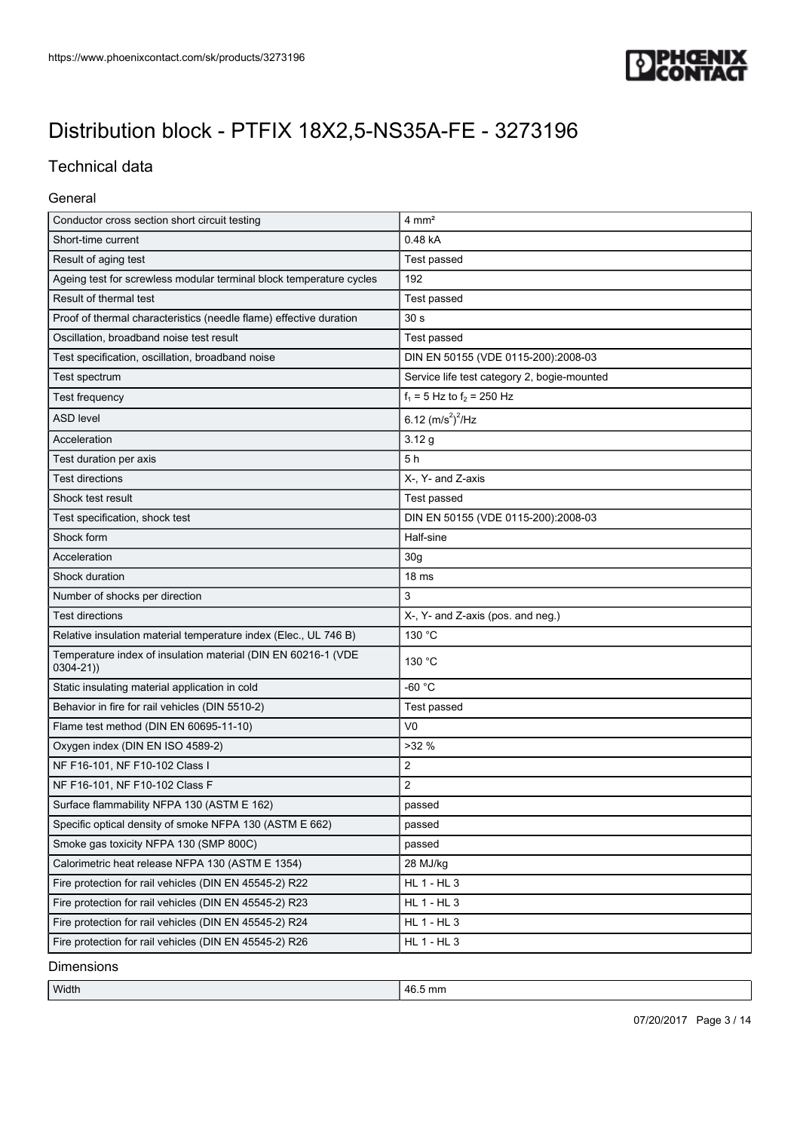

## Technical data

#### General

| Short-time current<br>0.48 kA<br>Result of aging test<br>Test passed<br>Ageing test for screwless modular terminal block temperature cycles<br>192<br>Result of thermal test<br>Test passed<br>Proof of thermal characteristics (needle flame) effective duration<br>30 <sub>s</sub><br>Oscillation, broadband noise test result<br>Test passed<br>Test specification, oscillation, broadband noise<br>DIN EN 50155 (VDE 0115-200):2008-03<br>Service life test category 2, bogie-mounted<br>Test spectrum<br>$f_1 = 5$ Hz to $f_2 = 250$ Hz<br>Test frequency<br><b>ASD level</b><br>6.12 $(m/s^2)^2$ /Hz<br>3.12g<br>Acceleration<br>5h<br>Test duration per axis<br><b>Test directions</b><br>X-, Y- and Z-axis<br>Shock test result<br>Test passed<br>Test specification, shock test<br>DIN EN 50155 (VDE 0115-200):2008-03<br>Shock form<br>Half-sine<br>Acceleration<br>30 <sub>g</sub><br>Shock duration<br>18 <sub>ms</sub> |
|-------------------------------------------------------------------------------------------------------------------------------------------------------------------------------------------------------------------------------------------------------------------------------------------------------------------------------------------------------------------------------------------------------------------------------------------------------------------------------------------------------------------------------------------------------------------------------------------------------------------------------------------------------------------------------------------------------------------------------------------------------------------------------------------------------------------------------------------------------------------------------------------------------------------------------------|
|                                                                                                                                                                                                                                                                                                                                                                                                                                                                                                                                                                                                                                                                                                                                                                                                                                                                                                                                     |
|                                                                                                                                                                                                                                                                                                                                                                                                                                                                                                                                                                                                                                                                                                                                                                                                                                                                                                                                     |
|                                                                                                                                                                                                                                                                                                                                                                                                                                                                                                                                                                                                                                                                                                                                                                                                                                                                                                                                     |
|                                                                                                                                                                                                                                                                                                                                                                                                                                                                                                                                                                                                                                                                                                                                                                                                                                                                                                                                     |
|                                                                                                                                                                                                                                                                                                                                                                                                                                                                                                                                                                                                                                                                                                                                                                                                                                                                                                                                     |
|                                                                                                                                                                                                                                                                                                                                                                                                                                                                                                                                                                                                                                                                                                                                                                                                                                                                                                                                     |
|                                                                                                                                                                                                                                                                                                                                                                                                                                                                                                                                                                                                                                                                                                                                                                                                                                                                                                                                     |
|                                                                                                                                                                                                                                                                                                                                                                                                                                                                                                                                                                                                                                                                                                                                                                                                                                                                                                                                     |
|                                                                                                                                                                                                                                                                                                                                                                                                                                                                                                                                                                                                                                                                                                                                                                                                                                                                                                                                     |
|                                                                                                                                                                                                                                                                                                                                                                                                                                                                                                                                                                                                                                                                                                                                                                                                                                                                                                                                     |
|                                                                                                                                                                                                                                                                                                                                                                                                                                                                                                                                                                                                                                                                                                                                                                                                                                                                                                                                     |
|                                                                                                                                                                                                                                                                                                                                                                                                                                                                                                                                                                                                                                                                                                                                                                                                                                                                                                                                     |
|                                                                                                                                                                                                                                                                                                                                                                                                                                                                                                                                                                                                                                                                                                                                                                                                                                                                                                                                     |
|                                                                                                                                                                                                                                                                                                                                                                                                                                                                                                                                                                                                                                                                                                                                                                                                                                                                                                                                     |
|                                                                                                                                                                                                                                                                                                                                                                                                                                                                                                                                                                                                                                                                                                                                                                                                                                                                                                                                     |
|                                                                                                                                                                                                                                                                                                                                                                                                                                                                                                                                                                                                                                                                                                                                                                                                                                                                                                                                     |
|                                                                                                                                                                                                                                                                                                                                                                                                                                                                                                                                                                                                                                                                                                                                                                                                                                                                                                                                     |
|                                                                                                                                                                                                                                                                                                                                                                                                                                                                                                                                                                                                                                                                                                                                                                                                                                                                                                                                     |
| 3<br>Number of shocks per direction                                                                                                                                                                                                                                                                                                                                                                                                                                                                                                                                                                                                                                                                                                                                                                                                                                                                                                 |
| <b>Test directions</b><br>X-, Y- and Z-axis (pos. and neg.)                                                                                                                                                                                                                                                                                                                                                                                                                                                                                                                                                                                                                                                                                                                                                                                                                                                                         |
| 130 °C<br>Relative insulation material temperature index (Elec., UL 746 B)                                                                                                                                                                                                                                                                                                                                                                                                                                                                                                                                                                                                                                                                                                                                                                                                                                                          |
| Temperature index of insulation material (DIN EN 60216-1 (VDE<br>130 °C<br>$0304 - 21)$                                                                                                                                                                                                                                                                                                                                                                                                                                                                                                                                                                                                                                                                                                                                                                                                                                             |
| $-60 °C$<br>Static insulating material application in cold                                                                                                                                                                                                                                                                                                                                                                                                                                                                                                                                                                                                                                                                                                                                                                                                                                                                          |
| Behavior in fire for rail vehicles (DIN 5510-2)<br>Test passed                                                                                                                                                                                                                                                                                                                                                                                                                                                                                                                                                                                                                                                                                                                                                                                                                                                                      |
| V <sub>0</sub><br>Flame test method (DIN EN 60695-11-10)                                                                                                                                                                                                                                                                                                                                                                                                                                                                                                                                                                                                                                                                                                                                                                                                                                                                            |
| >32%<br>Oxygen index (DIN EN ISO 4589-2)                                                                                                                                                                                                                                                                                                                                                                                                                                                                                                                                                                                                                                                                                                                                                                                                                                                                                            |
| $\overline{2}$<br>NF F16-101, NF F10-102 Class I                                                                                                                                                                                                                                                                                                                                                                                                                                                                                                                                                                                                                                                                                                                                                                                                                                                                                    |
| $\overline{2}$<br>NF F16-101, NF F10-102 Class F                                                                                                                                                                                                                                                                                                                                                                                                                                                                                                                                                                                                                                                                                                                                                                                                                                                                                    |
| Surface flammability NFPA 130 (ASTM E 162)<br>passed                                                                                                                                                                                                                                                                                                                                                                                                                                                                                                                                                                                                                                                                                                                                                                                                                                                                                |
| Specific optical density of smoke NFPA 130 (ASTM E 662)<br>passed                                                                                                                                                                                                                                                                                                                                                                                                                                                                                                                                                                                                                                                                                                                                                                                                                                                                   |
| Smoke gas toxicity NFPA 130 (SMP 800C)<br>passed                                                                                                                                                                                                                                                                                                                                                                                                                                                                                                                                                                                                                                                                                                                                                                                                                                                                                    |
| Calorimetric heat release NFPA 130 (ASTM E 1354)<br>28 MJ/kg                                                                                                                                                                                                                                                                                                                                                                                                                                                                                                                                                                                                                                                                                                                                                                                                                                                                        |
| HL 1 - HL 3<br>Fire protection for rail vehicles (DIN EN 45545-2) R22                                                                                                                                                                                                                                                                                                                                                                                                                                                                                                                                                                                                                                                                                                                                                                                                                                                               |
| Fire protection for rail vehicles (DIN EN 45545-2) R23<br>HL 1 - HL 3                                                                                                                                                                                                                                                                                                                                                                                                                                                                                                                                                                                                                                                                                                                                                                                                                                                               |
| Fire protection for rail vehicles (DIN EN 45545-2) R24<br>HL 1 - HL 3                                                                                                                                                                                                                                                                                                                                                                                                                                                                                                                                                                                                                                                                                                                                                                                                                                                               |
| HL 1 - HL 3<br>Fire protection for rail vehicles (DIN EN 45545-2) R26                                                                                                                                                                                                                                                                                                                                                                                                                                                                                                                                                                                                                                                                                                                                                                                                                                                               |

Dimensions

Width 46.5 mm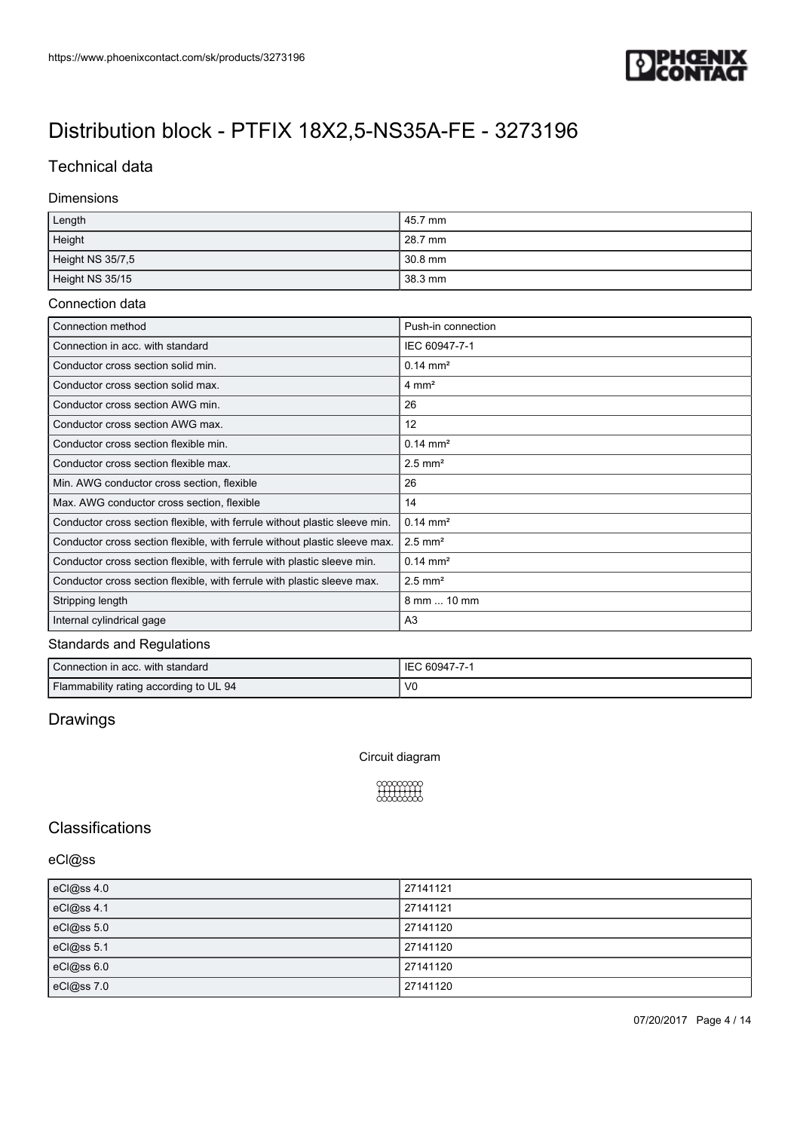

### Technical data

#### Dimensions

| Length           | 45.7 mm |
|------------------|---------|
| Height           | 28.7 mm |
| Height NS 35/7,5 | 30.8 mm |
| Height NS 35/15  | 38.3 mm |

#### Connection data

| Connection method                                                          | Push-in connection    |
|----------------------------------------------------------------------------|-----------------------|
| Connection in acc. with standard                                           | IEC 60947-7-1         |
| Conductor cross section solid min.                                         | $0.14 \text{ mm}^2$   |
| Conductor cross section solid max.                                         | $4 \text{ mm}^2$      |
| Conductor cross section AWG min.                                           | 26                    |
| Conductor cross section AWG max.                                           | $12 \overline{ }$     |
| Conductor cross section flexible min.                                      | $0.14 \text{ mm}^2$   |
| Conductor cross section flexible max.                                      | $2.5$ mm <sup>2</sup> |
| Min. AWG conductor cross section, flexible                                 | 26                    |
| Max. AWG conductor cross section, flexible                                 | 14                    |
| Conductor cross section flexible, with ferrule without plastic sleeve min. | $0.14 \text{ mm}^2$   |
| Conductor cross section flexible, with ferrule without plastic sleeve max. | $2.5$ mm <sup>2</sup> |
| Conductor cross section flexible, with ferrule with plastic sleeve min.    | $0.14 \text{ mm}^2$   |
| Conductor cross section flexible, with ferrule with plastic sleeve max.    | $2.5$ mm <sup>2</sup> |
| Stripping length                                                           | 8 mm  10 mm           |
| Internal cylindrical gage                                                  | A <sub>3</sub>        |

#### Standards and Regulations

| Connection in acc. with standard       | : 60947-7-1<br>IE |
|----------------------------------------|-------------------|
| Flammability rating according to UL 94 | V <sub>0</sub>    |

## Drawings

Circuit diagram



### **Classifications**

#### eCl@ss

| eCl@ss 4.0 | 27141121 |
|------------|----------|
| eCl@ss 4.1 | 27141121 |
| eCl@ss 5.0 | 27141120 |
| eCl@ss 5.1 | 27141120 |
| eCl@ss 6.0 | 27141120 |
| eCl@ss 7.0 | 27141120 |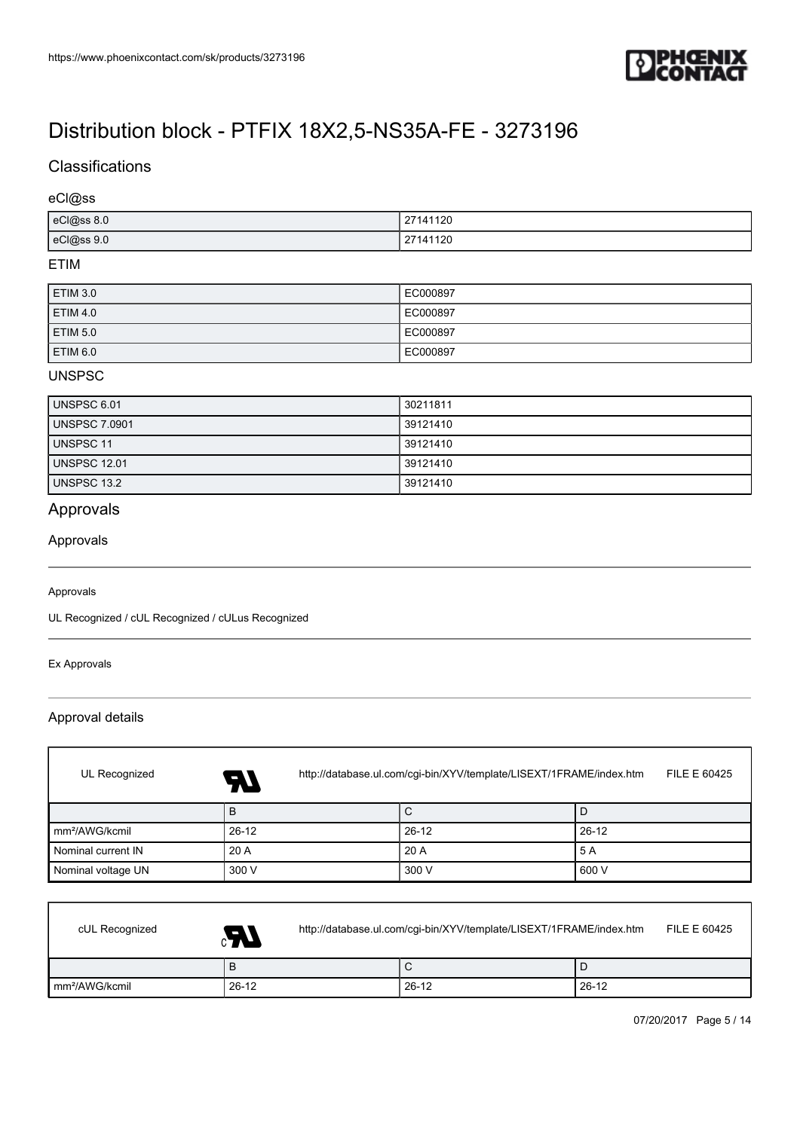

### **Classifications**

#### eCl@ss

| eCl@ss 8.0 | 27141120 |
|------------|----------|
| eCl@ss 9.0 | 27141120 |

#### ETIM

| ETIM 3.0            | EC000897 |
|---------------------|----------|
| <b>ETIM 4.0</b>     | EC000897 |
| <b>ETIM 5.0</b>     | EC000897 |
| ETIM <sub>6.0</sub> | EC000897 |

#### UNSPSC

| UNSPSC 6.01   | 30211811 |
|---------------|----------|
| UNSPSC 7.0901 | 39121410 |
| UNSPSC 11     | 39121410 |
| UNSPSC 12.01  | 39121410 |
| UNSPSC 13.2   | 39121410 |

## Approvals

#### Approvals

#### Approvals

UL Recognized / cUL Recognized / cULus Recognized

#### Ex Approvals

 $\lceil$ 

### Approval details

| UL Recognized              | http://database.ul.com/cgi-bin/XYV/template/LISEXT/1FRAME/index.htm<br>FILE E 60425<br>74 |         |         |
|----------------------------|-------------------------------------------------------------------------------------------|---------|---------|
|                            | B                                                                                         | С       | D       |
| mm <sup>2</sup> /AWG/kcmil | $26-12$                                                                                   | $26-12$ | $26-12$ |
| Nominal current IN         | 20 A                                                                                      | 20 A    | 5 A     |
| Nominal voltage UN         | 300 V                                                                                     | 300 V   | 600 V   |

| cUL Recognized             | Æ,      | http://database.ul.com/cgi-bin/XYV/template/LISEXT/1FRAME/index.htm |         |       | FILE E 60425 |
|----------------------------|---------|---------------------------------------------------------------------|---------|-------|--------------|
|                            | P       |                                                                     | ີ       |       |              |
| Im <sup>2</sup> /AWG/kcmil | $26-12$ |                                                                     | $26-12$ | 26-12 |              |

٦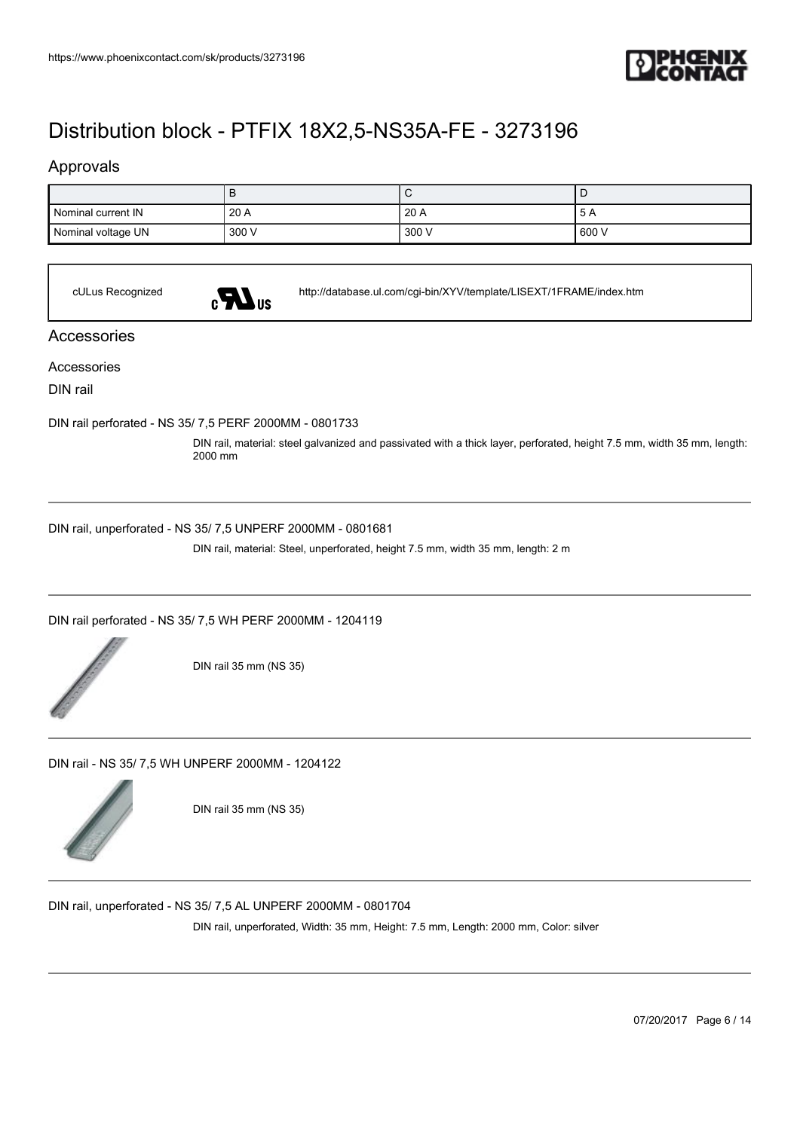

### Approvals

|                    | ப     | ∼     |       |
|--------------------|-------|-------|-------|
| Nominal current IN | 20A   | 20A   | -9 A  |
| Nominal voltage UN | 300 V | 300 V | 600 V |

cULus Recognized <http://database.ul.com/cgi-bin/XYV/template/LISEXT/1FRAME/index.htm>

#### Accessories

Accessories

DIN rail

[DIN rail perforated - NS 35/ 7,5 PERF 2000MM - 0801733](https://www.phoenixcontact.com/sk/products/0801733)

DIN rail, material: steel galvanized and passivated with a thick layer, perforated, height 7.5 mm, width 35 mm, length: 2000 mm

[DIN rail, unperforated - NS 35/ 7,5 UNPERF 2000MM - 0801681](https://www.phoenixcontact.com/sk/products/0801681)

DIN rail, material: Steel, unperforated, height 7.5 mm, width 35 mm, length: 2 m

[DIN rail perforated - NS 35/ 7,5 WH PERF 2000MM - 1204119](https://www.phoenixcontact.com/sk/products/1204119)



DIN rail 35 mm (NS 35)

[DIN rail - NS 35/ 7,5 WH UNPERF 2000MM - 1204122](https://www.phoenixcontact.com/sk/products/1204122)



DIN rail 35 mm (NS 35)

[DIN rail, unperforated - NS 35/ 7,5 AL UNPERF 2000MM - 0801704](https://www.phoenixcontact.com/sk/products/0801704)

DIN rail, unperforated, Width: 35 mm, Height: 7.5 mm, Length: 2000 mm, Color: silver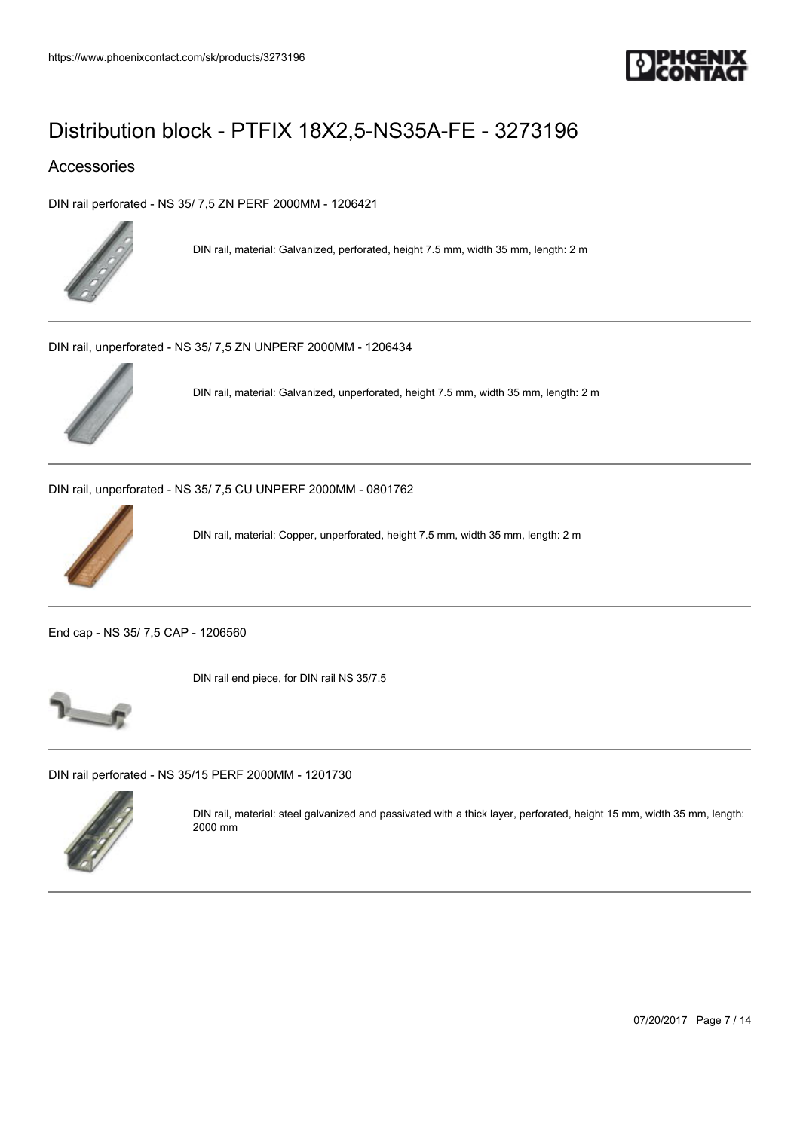

### Accessories

[DIN rail perforated - NS 35/ 7,5 ZN PERF 2000MM - 1206421](https://www.phoenixcontact.com/sk/products/1206421)



DIN rail, material: Galvanized, perforated, height 7.5 mm, width 35 mm, length: 2 m

[DIN rail, unperforated - NS 35/ 7,5 ZN UNPERF 2000MM - 1206434](https://www.phoenixcontact.com/sk/products/1206434)



DIN rail, material: Galvanized, unperforated, height 7.5 mm, width 35 mm, length: 2 m

[DIN rail, unperforated - NS 35/ 7,5 CU UNPERF 2000MM - 0801762](https://www.phoenixcontact.com/sk/products/0801762)



DIN rail, material: Copper, unperforated, height 7.5 mm, width 35 mm, length: 2 m

[End cap - NS 35/ 7,5 CAP - 1206560](https://www.phoenixcontact.com/sk/products/1206560)



DIN rail end piece, for DIN rail NS 35/7.5



[DIN rail perforated - NS 35/15 PERF 2000MM - 1201730](https://www.phoenixcontact.com/sk/products/1201730)



DIN rail, material: steel galvanized and passivated with a thick layer, perforated, height 15 mm, width 35 mm, length: 2000 mm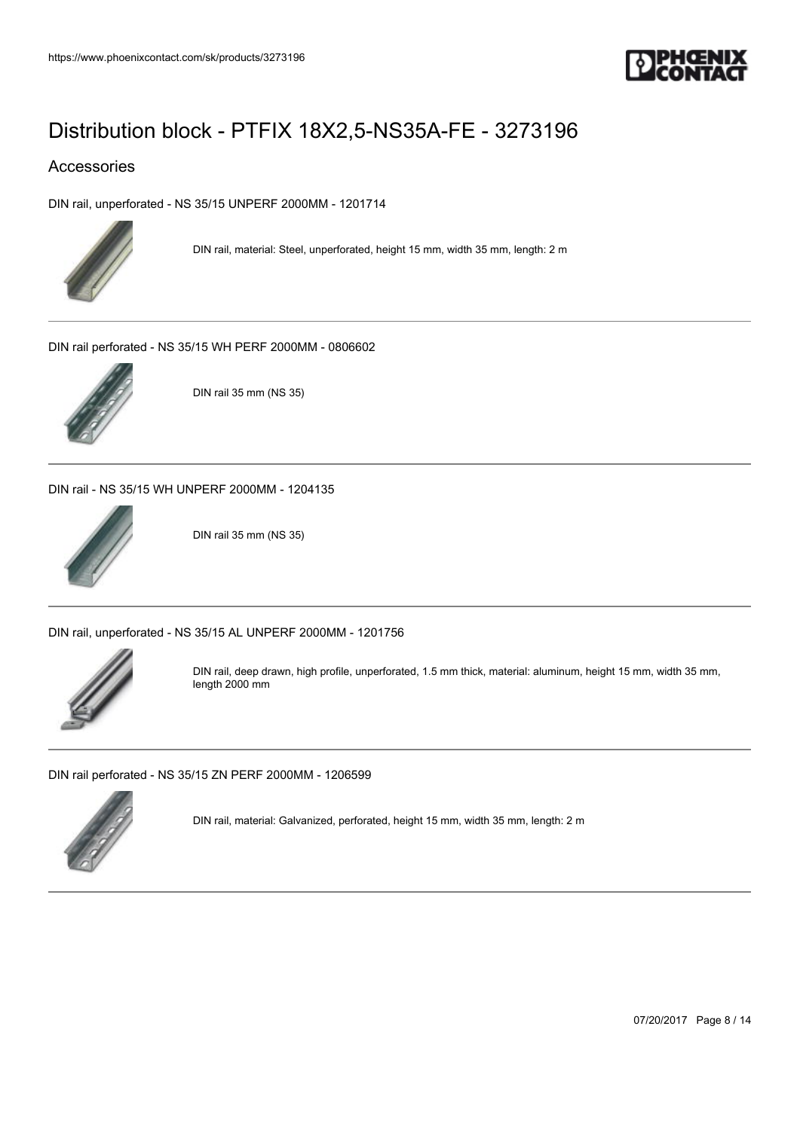

### Accessories

[DIN rail, unperforated - NS 35/15 UNPERF 2000MM - 1201714](https://www.phoenixcontact.com/sk/products/1201714)



DIN rail, material: Steel, unperforated, height 15 mm, width 35 mm, length: 2 m

[DIN rail perforated - NS 35/15 WH PERF 2000MM - 0806602](https://www.phoenixcontact.com/sk/products/0806602)



DIN rail 35 mm (NS 35)

[DIN rail - NS 35/15 WH UNPERF 2000MM - 1204135](https://www.phoenixcontact.com/sk/products/1204135)



DIN rail 35 mm (NS 35)

[DIN rail, unperforated - NS 35/15 AL UNPERF 2000MM - 1201756](https://www.phoenixcontact.com/sk/products/1201756)



DIN rail, deep drawn, high profile, unperforated, 1.5 mm thick, material: aluminum, height 15 mm, width 35 mm, length 2000 mm

[DIN rail perforated - NS 35/15 ZN PERF 2000MM - 1206599](https://www.phoenixcontact.com/sk/products/1206599)



DIN rail, material: Galvanized, perforated, height 15 mm, width 35 mm, length: 2 m

07/20/2017 Page 8 / 14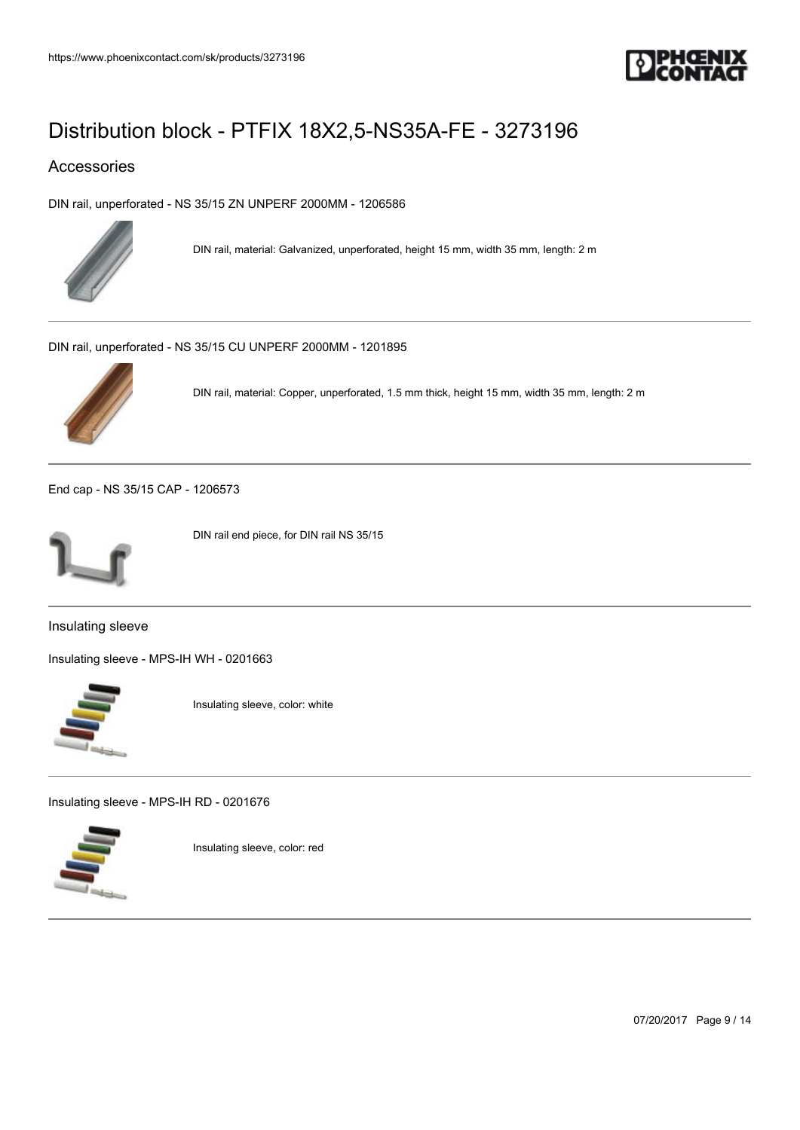

### Accessories

[DIN rail, unperforated - NS 35/15 ZN UNPERF 2000MM - 1206586](https://www.phoenixcontact.com/sk/products/1206586)



DIN rail, material: Galvanized, unperforated, height 15 mm, width 35 mm, length: 2 m

[DIN rail, unperforated - NS 35/15 CU UNPERF 2000MM - 1201895](https://www.phoenixcontact.com/sk/products/1201895)



DIN rail, material: Copper, unperforated, 1.5 mm thick, height 15 mm, width 35 mm, length: 2 m

[End cap - NS 35/15 CAP - 1206573](https://www.phoenixcontact.com/sk/products/1206573)



DIN rail end piece, for DIN rail NS 35/15

Insulating sleeve

[Insulating sleeve - MPS-IH WH - 0201663](https://www.phoenixcontact.com/sk/products/0201663)



Insulating sleeve, color: white

[Insulating sleeve - MPS-IH RD - 0201676](https://www.phoenixcontact.com/sk/products/0201676)



Insulating sleeve, color: red

07/20/2017 Page 9 / 14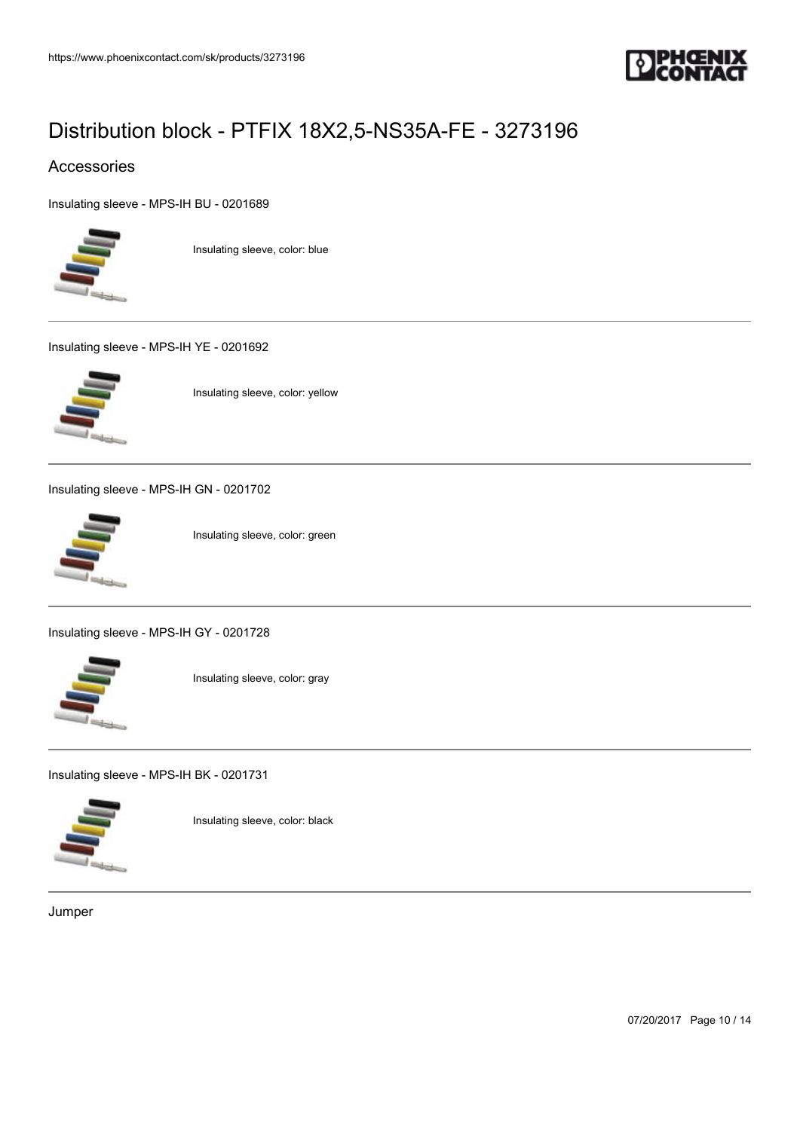

### Accessories

[Insulating sleeve - MPS-IH BU - 0201689](https://www.phoenixcontact.com/sk/products/0201689)



Insulating sleeve, color: blue

[Insulating sleeve - MPS-IH YE - 0201692](https://www.phoenixcontact.com/sk/products/0201692)



Insulating sleeve, color: yellow

[Insulating sleeve - MPS-IH GN - 0201702](https://www.phoenixcontact.com/sk/products/0201702)



Insulating sleeve, color: green

[Insulating sleeve - MPS-IH GY - 0201728](https://www.phoenixcontact.com/sk/products/0201728)



Insulating sleeve, color: gray

[Insulating sleeve - MPS-IH BK - 0201731](https://www.phoenixcontact.com/sk/products/0201731)



Insulating sleeve, color: black

Jumper

07/20/2017 Page 10 / 14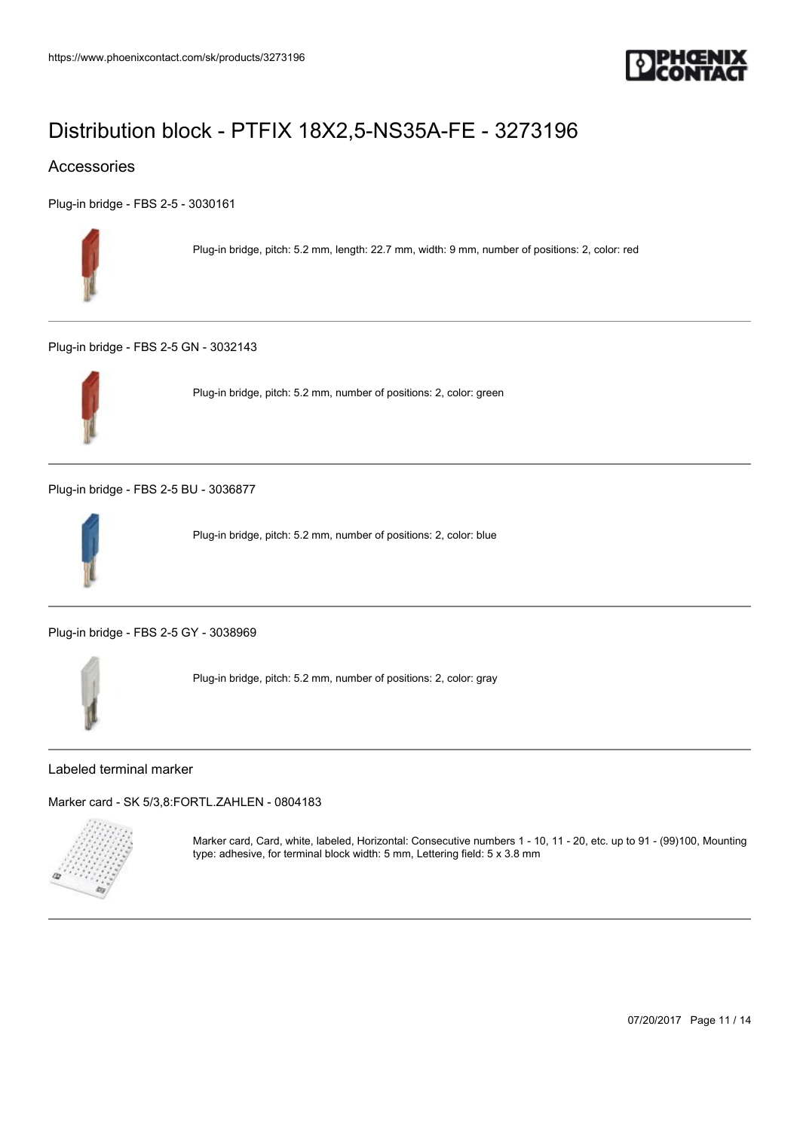

### Accessories

[Plug-in bridge - FBS 2-5 - 3030161](https://www.phoenixcontact.com/sk/products/3030161)



Plug-in bridge, pitch: 5.2 mm, length: 22.7 mm, width: 9 mm, number of positions: 2, color: red

[Plug-in bridge - FBS 2-5 GN - 3032143](https://www.phoenixcontact.com/sk/products/3032143)



Plug-in bridge, pitch: 5.2 mm, number of positions: 2, color: green

[Plug-in bridge - FBS 2-5 BU - 3036877](https://www.phoenixcontact.com/sk/products/3036877)



Plug-in bridge, pitch: 5.2 mm, number of positions: 2, color: blue

[Plug-in bridge - FBS 2-5 GY - 3038969](https://www.phoenixcontact.com/sk/products/3038969)



Plug-in bridge, pitch: 5.2 mm, number of positions: 2, color: gray

Labeled terminal marker

[Marker card - SK 5/3,8:FORTL.ZAHLEN - 0804183](https://www.phoenixcontact.com/sk/products/0804183)



Marker card, Card, white, labeled, Horizontal: Consecutive numbers 1 - 10, 11 - 20, etc. up to 91 - (99)100, Mounting type: adhesive, for terminal block width: 5 mm, Lettering field: 5 x 3.8 mm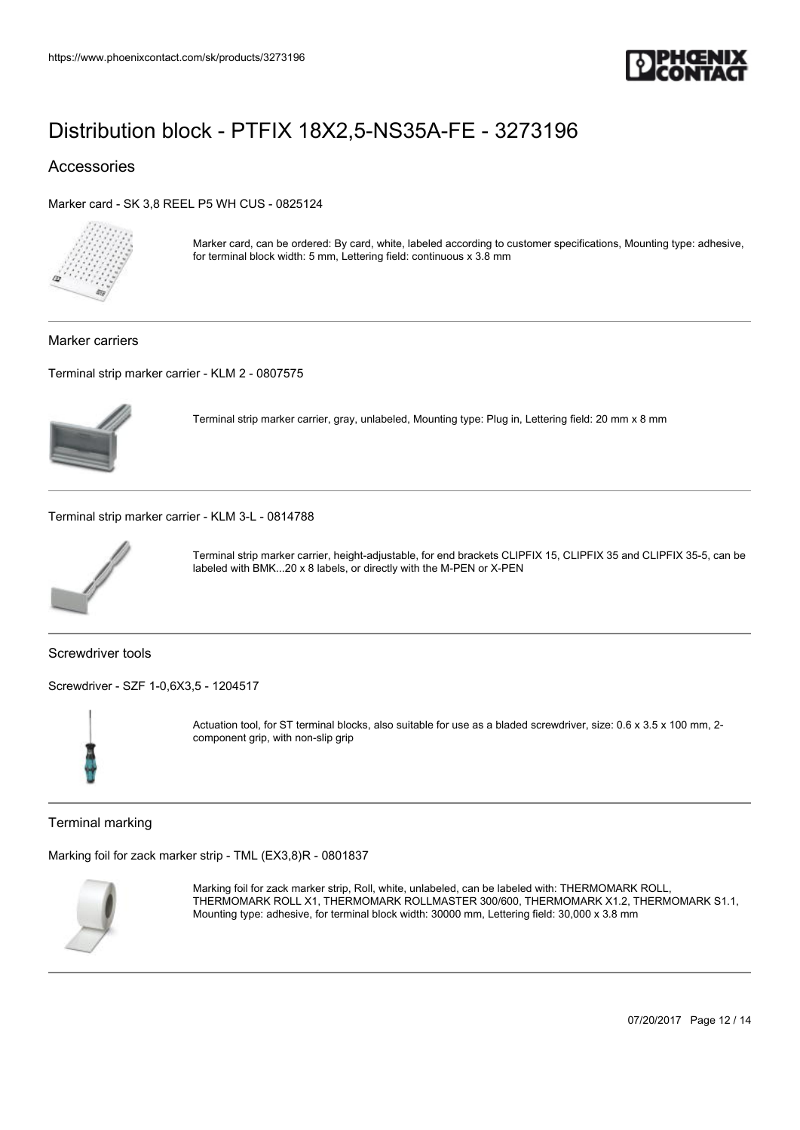

### Accessories

[Marker card - SK 3,8 REEL P5 WH CUS - 0825124](https://www.phoenixcontact.com/sk/products/0825124)



Marker card, can be ordered: By card, white, labeled according to customer specifications, Mounting type: adhesive, for terminal block width: 5 mm, Lettering field: continuous x 3.8 mm

Marker carriers

[Terminal strip marker carrier - KLM 2 - 0807575](https://www.phoenixcontact.com/sk/products/0807575)



Terminal strip marker carrier, gray, unlabeled, Mounting type: Plug in, Lettering field: 20 mm x 8 mm

[Terminal strip marker carrier - KLM 3-L - 0814788](https://www.phoenixcontact.com/sk/products/0814788)



Terminal strip marker carrier, height-adjustable, for end brackets CLIPFIX 15, CLIPFIX 35 and CLIPFIX 35-5, can be labeled with BMK...20 x 8 labels, or directly with the M-PEN or X-PEN

Screwdriver tools

[Screwdriver - SZF 1-0,6X3,5 - 1204517](https://www.phoenixcontact.com/sk/products/1204517)



Actuation tool, for ST terminal blocks, also suitable for use as a bladed screwdriver, size: 0.6 x 3.5 x 100 mm, 2 component grip, with non-slip grip

Terminal marking

[Marking foil for zack marker strip - TML \(EX3,8\)R - 0801837](https://www.phoenixcontact.com/sk/products/0801837)



Marking foil for zack marker strip, Roll, white, unlabeled, can be labeled with: THERMOMARK ROLL, THERMOMARK ROLL X1, THERMOMARK ROLLMASTER 300/600, THERMOMARK X1.2, THERMOMARK S1.1, Mounting type: adhesive, for terminal block width: 30000 mm, Lettering field: 30,000 x 3.8 mm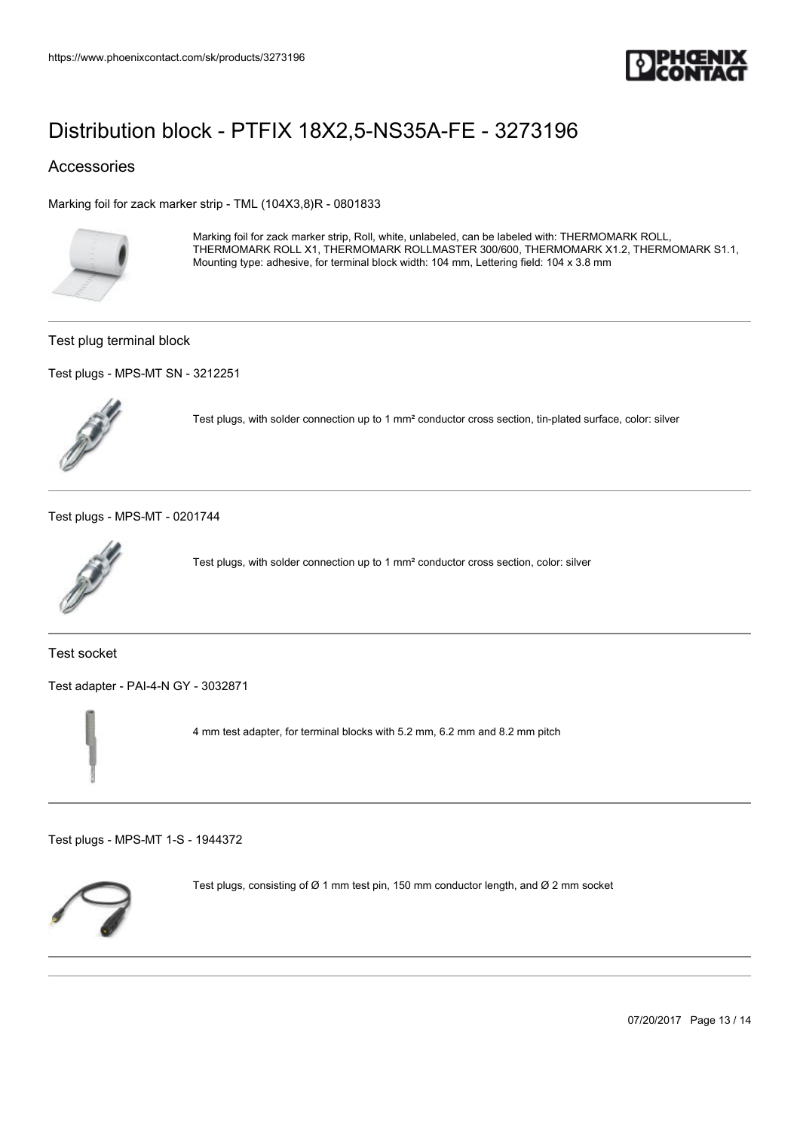

### Accessories

[Marking foil for zack marker strip - TML \(104X3,8\)R - 0801833](https://www.phoenixcontact.com/sk/products/0801833)



Marking foil for zack marker strip, Roll, white, unlabeled, can be labeled with: THERMOMARK ROLL, THERMOMARK ROLL X1, THERMOMARK ROLLMASTER 300/600, THERMOMARK X1.2, THERMOMARK S1.1, Mounting type: adhesive, for terminal block width: 104 mm, Lettering field: 104 x 3.8 mm

#### Test plug terminal block

[Test plugs - MPS-MT SN - 3212251](https://www.phoenixcontact.com/sk/products/3212251)



Test plugs, with solder connection up to 1 mm² conductor cross section, tin-plated surface, color: silver

[Test plugs - MPS-MT - 0201744](https://www.phoenixcontact.com/sk/products/0201744)



Test plugs, with solder connection up to 1 mm² conductor cross section, color: silver

Test socket

[Test adapter - PAI-4-N GY - 3032871](https://www.phoenixcontact.com/sk/products/3032871)



4 mm test adapter, for terminal blocks with 5.2 mm, 6.2 mm and 8.2 mm pitch

[Test plugs - MPS-MT 1-S - 1944372](https://www.phoenixcontact.com/sk/products/1944372)



Test plugs, consisting of  $\varnothing$  1 mm test pin, 150 mm conductor length, and  $\varnothing$  2 mm socket

07/20/2017 Page 13 / 14